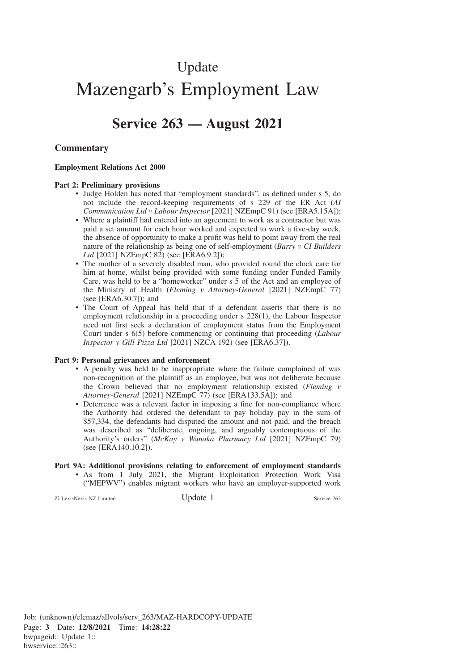# Update Mazengarb's Employment Law

# **Service 263 — August 2021**

#### **Commentary**

#### **Employment Relations Act 2000**

#### **Part 2: Preliminary provisions**

- Judge Holden has noted that "employment standards", as defined under s 5, do not include the record-keeping requirements of s 229 of the ER Act (*AI Communication Ltd v Labour Inspector* [2021] NZEmpC 91) (see [ERA5.15A]);
- Where a plaintiff had entered into an agreement to work as a contractor but was paid a set amount for each hour worked and expected to work a five-day week, the absence of opportunity to make a profit was held to point away from the real nature of the relationship as being one of self-employment (*Barry v CI Builders Ltd* [2021] NZEmpC 82) (see [ERA6.9.2]);
- The mother of a severely disabled man, who provided round the clock care for him at home, whilst being provided with some funding under Funded Family Care, was held to be a "homeworker" under s 5 of the Act and an employee of the Ministry of Health (*Fleming v Attorney-General* [2021] NZEmpC 77) (see [ERA6.30.7]); and
- The Court of Appeal has held that if a defendant asserts that there is no employment relationship in a proceeding under s 228(1), the Labour Inspector need not first seek a declaration of employment status from the Employment Court under s 6(5) before commencing or continuing that proceeding (*Labour Inspector v Gill Pizza Ltd* [2021] NZCA 192) (see [ERA6.37]).

#### **Part 9: Personal grievances and enforcement**

- A penalty was held to be inappropriate where the failure complained of was non-recognition of the plaintiff as an employee, but was not deliberate because the Crown believed that no employment relationship existed (*Fleming v Attorney-General* [2021] NZEmpC 77) (see [ERA133.5A]); and
- Deterrence was a relevant factor in imposing a fine for non-compliance where the Authority had ordered the defendant to pay holiday pay in the sum of \$57,334, the defendants had disputed the amount and not paid, and the breach was described as "deliberate, ongoing, and arguably contemptuous of the Authority's orders" (*McKay v Wanaka Pharmacy Ltd* [2021] NZEmpC 79) (see [ERA140.10.2]).

## **Part 9A: Additional provisions relating to enforcement of employment standards**

• As from 1 July 2021, the Migrant Exploitation Protection Work Visa ("MEPWV") enables migrant workers who have an employer-supported work

© LexisNexis NZ Limited Update 1 Service 263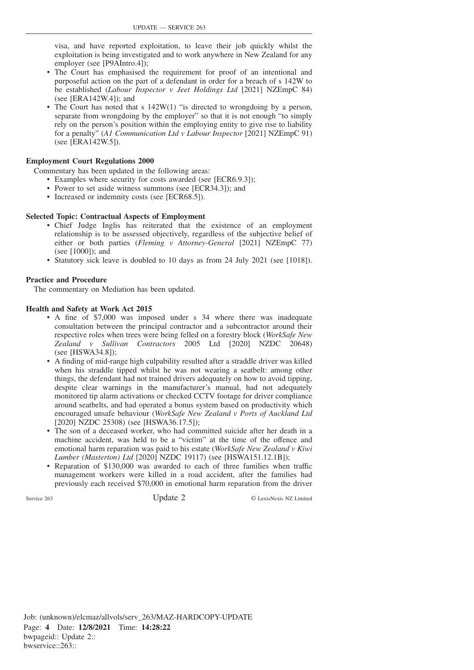visa, and have reported exploitation, to leave their job quickly whilst the exploitation is being investigated and to work anywhere in New Zealand for any employer (see [P9AIntro.4]);

- The Court has emphasised the requirement for proof of an intentional and purposeful action on the part of a defendant in order for a breach of s 142W to be established (*Labour Inspector v Jeet Holdings Ltd* [2021] NZEmpC 84) (see [ERA142W.4]); and
- The Court has noted that s 142W(1) "is directed to wrongdoing by a person, separate from wrongdoing by the employer" so that it is not enough "to simply rely on the person's position within the employing entity to give rise to liability for a penalty" (*A1 Communication Ltd v Labour Inspector* [2021] NZEmpC 91) (see [ERA142W.5]).

#### **Employment Court Regulations 2000**

Commentary has been updated in the following areas:

- Examples where security for costs awarded (see [ECR6.9.3]);
- Power to set aside witness summons (see [ECR34.3]); and
- Increased or indemnity costs (see [ECR68.5]).

#### **Selected Topic: Contractual Aspects of Employment**

- Chief Judge Inglis has reiterated that the existence of an employment relationship is to be assessed objectively, regardless of the subjective belief of either or both parties (*Fleming v Attorney-General* [2021] NZEmpC 77) (see [1000]); and
- Statutory sick leave is doubled to 10 days as from 24 July 2021 (see [1018]).

#### **Practice and Procedure**

The commentary on Mediation has been updated.

#### **Health and Safety at Work Act 2015**

- A fine of \$7,000 was imposed under s 34 where there was inadequate consultation between the principal contractor and a subcontractor around their respective roles when trees were being felled on a forestry block (*WorkSafe New Zealand v Sullivan Contractors* 2005 Ltd [2020] NZDC 20648) (see [HSWA34.8]);
- A finding of mid-range high culpability resulted after a straddle driver was killed when his straddle tipped whilst he was not wearing a seatbelt: among other things, the defendant had not trained drivers adequately on how to avoid tipping, despite clear warnings in the manufacturer's manual, had not adequately monitored tip alarm activations or checked CCTV footage for driver compliance around seatbelts, and had operated a bonus system based on productivity which encouraged unsafe behaviour (*WorkSafe New Zealand v Ports of Auckland Ltd* [2020] NZDC 25308) (see [HSWA36.17.5]);
- The son of a deceased worker, who had committed suicide after her death in a machine accident, was held to be a "victim" at the time of the offence and emotional harm reparation was paid to his estate (*WorkSafe New Zealand v Kiwi Lumber (Masterton) Ltd* [2020] NZDC 19117) (see [HSWA151.12.1B]);
- Reparation of \$130,000 was awarded to each of three families when traffic management workers were killed in a road accident, after the families had previously each received \$70,000 in emotional harm reparation from the driver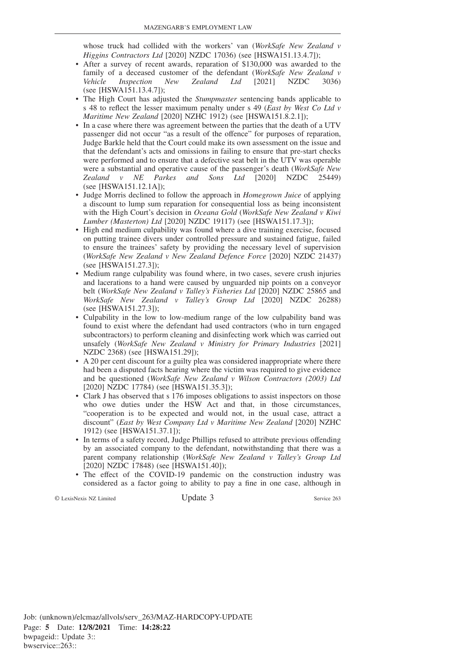whose truck had collided with the workers' van (*WorkSafe New Zealand v Higgins Contractors Ltd* [2020] NZDC 17036) (see [HSWA151.13.4.7]);

- After a survey of recent awards, reparation of \$130,000 was awarded to the family of a deceased customer of the defendant (*WorkSafe New Zealand v Vehicle Inspection New Zealand Ltd* [2021] NZDC 3036) (see [HSWA151.13.4.7]);
- The High Court has adjusted the *Stumpmaster* sentencing bands applicable to s 48 to reflect the lesser maximum penalty under s 49 (*East by West Co Ltd v Maritime New Zealand* [2020] NZHC 1912) (see [HSWA151.8.2.1]);
- In a case where there was agreement between the parties that the death of a UTV passenger did not occur "as a result of the offence" for purposes of reparation, Judge Barkle held that the Court could make its own assessment on the issue and that the defendant's acts and omissions in failing to ensure that pre-start checks were performed and to ensure that a defective seat belt in the UTV was operable were a substantial and operative cause of the passenger's death (*WorkSafe New Zealand*  $v$  *NE Parkes and Sons Ltd* [2020] NZDC 25449) Zealand *v* NE Parkes and Sons Ltd [2020] NZDC (see [HSWA151.12.1A]);
- Judge Morris declined to follow the approach in *Homegrown Juice* of applying a discount to lump sum reparation for consequential loss as being inconsistent with the High Court's decision in *Oceana Gold* (*WorkSafe New Zealand v Kiwi Lumber (Masterton) Ltd* [2020] NZDC 19117) (see [HSWA151.17.3]);
- High end medium culpability was found where a dive training exercise, focused on putting trainee divers under controlled pressure and sustained fatigue, failed to ensure the trainees' safety by providing the necessary level of supervision (*WorkSafe New Zealand v New Zealand Defence Force* [2020] NZDC 21437) (see [HSWA151.27.3]);
- Medium range culpability was found where, in two cases, severe crush injuries and lacerations to a hand were caused by unguarded nip points on a conveyor belt (*WorkSafe New Zealand v Talley's Fisheries Ltd* [2020] NZDC 25865 and *WorkSafe New Zealand v Talley's Group Ltd* [2020] NZDC 26288) (see [HSWA151.27.3]);
- Culpability in the low to low-medium range of the low culpability band was found to exist where the defendant had used contractors (who in turn engaged subcontractors) to perform cleaning and disinfecting work which was carried out unsafely (*WorkSafe New Zealand v Ministry for Primary Industries* [2021] NZDC 2368) (see [HSWA151.29]);
- A 20 per cent discount for a guilty plea was considered inappropriate where there had been a disputed facts hearing where the victim was required to give evidence and be questioned (*WorkSafe New Zealand v Wilson Contractors (2003) Ltd* [2020] NZDC 17784) (see [HSWA151.35.3]);
- Clark J has observed that s 176 imposes obligations to assist inspectors on those who owe duties under the HSW Act and that, in those circumstances, "cooperation is to be expected and would not, in the usual case, attract a discount" (*East by West Company Ltd v Maritime New Zealand* [2020] NZHC 1912) (see [HSWA151.37.1]);
- In terms of a safety record, Judge Phillips refused to attribute previous offending by an associated company to the defendant, notwithstanding that there was a parent company relationship (*WorkSafe New Zealand v Talley's Group Ltd* [2020] NZDC 17848) (see [HSWA151.40]);
- The effect of the COVID-19 pandemic on the construction industry was considered as a factor going to ability to pay a fine in one case, although in